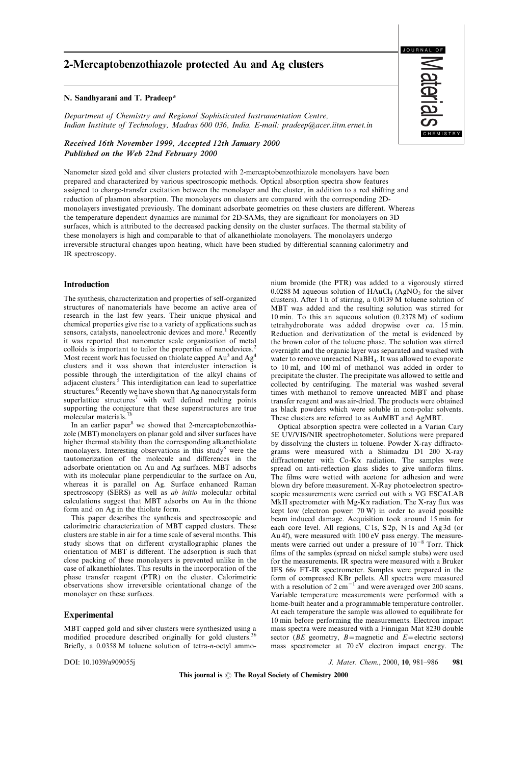# 2-Mercaptobenzothiazole protected Au and Ag clusters

#### N. Sandhyarani and T. Pradeep\*

Department of Chemistry and Regional Sophisticated Instrumentation Centre, Indian Institute of Technology, Madras 600 036, India. E-mail: pradeep@acer.iitm.ernet.in

Received 16th November 1999, Accepted 12th January 2000 Published on the Web 22nd February 2000

Nanometer sized gold and silver clusters protected with 2-mercaptobenzothiazole monolayers have been prepared and characterized by various spectroscopic methods. Optical absorption spectra show features assigned to charge-transfer excitation between the monolayer and the cluster, in addition to a red shifting and reduction of plasmon absorption. The monolayers on clusters are compared with the corresponding 2Dmonolayers investigated previously. The dominant adsorbate geometries on these clusters are different. Whereas the temperature dependent dynamics are minimal for 2D-SAMs, they are significant for monolayers on 3D surfaces, which is attributed to the decreased packing density on the cluster surfaces. The thermal stability of these monolayers is high and comparable to that of alkanethiolate monolayers. The monolayers undergo irreversible structural changes upon heating, which have been studied by differential scanning calorimetry and IR spectroscopy.

## Introduction

The synthesis, characterization and properties of self-organized structures of nanomaterials have become an active area of research in the last few years. Their unique physical and chemical properties give rise to a variety of applications such as sensors, catalysts, nanoelectronic devices and more.<sup>1</sup> Recently it was reported that nanometer scale organization of metal colloids is important to tailor the properties of nanodevices.<sup>2</sup> Most recent work has focussed on thiolate capped Au<sup>3</sup> and Ag<sup>4</sup> clusters and it was shown that intercluster interaction is possible through the interdigitation of the alkyl chains of adjacent clusters.<sup>5</sup> This interdigitation can lead to superlattice structures.<sup>6</sup> Recently we have shown that Ag nanocrystals form superlattice structures<sup>7</sup> with well defined melting points supporting the conjecture that these superstructures are true molecular materials.<sup>7</sup>

In an earlier paper<sup>8</sup> we showed that 2-mercaptobenzothiazole (MBT) monolayers on planar gold and silver surfaces have higher thermal stability than the corresponding alkanethiolate monolayers. Interesting observations in this study<sup>8</sup> were the tautomerization of the molecule and differences in the adsorbate orientation on Au and Ag surfaces. MBT adsorbs with its molecular plane perpendicular to the surface on Au, whereas it is parallel on Ag. Surface enhanced Raman spectroscopy (SERS) as well as *ab initio* molecular orbital calculations suggest that MBT adsorbs on Au in the thione form and on Ag in the thiolate form.

This paper describes the synthesis and spectroscopic and calorimetric characterization of MBT capped clusters. These clusters are stable in air for a time scale of several months. This study shows that on different crystallographic planes the orientation of MBT is different. The adsorption is such that close packing of these monolayers is prevented unlike in the case of alkanethiolates. This results in the incorporation of the phase transfer reagent (PTR) on the cluster. Calorimetric observations show irreversible orientational change of the monolayer on these surfaces.

### Experimental

MBT capped gold and silver clusters were synthesized using a modified procedure described originally for gold clusters.<sup>3b</sup> Briefly, a  $0.0358$  M toluene solution of tetra-n-octyl ammonium bromide (the PTR) was added to a vigorously stirred  $0.0288$  M aqueous solution of  $HAuCl<sub>4</sub>$  (AgNO<sub>3</sub> for the silver clusters). After 1 h of stirring, a 0.0139 M toluene solution of MBT was added and the resulting solution was stirred for 10 min. To this an aqueous solution (0.2378 M) of sodium tetrahydroborate was added dropwise over ca. 15 min. Reduction and derivatization of the metal is evidenced by the brown color of the toluene phase. The solution was stirred overnight and the organic layer was separated and washed with water to remove unreacted NaBH<sub>4</sub>. It was allowed to evaporate to 10 ml, and 100 ml of methanol was added in order to precipitate the cluster. The precipitate was allowed to settle and collected by centrifuging. The material was washed several times with methanol to remove unreacted MBT and phase transfer reagent and was air-dried. The products were obtained as black powders which were soluble in non-polar solvents. These clusters are referred to as AuMBT and AgMBT.

Optical absorption spectra were collected in a Varian Cary 5E UV/VIS/NIR spectrophotometer. Solutions were prepared by dissolving the clusters in toluene. Powder X-ray diffractograms were measured with a Shimadzu D1 200 X-ray diffractometer with  $Co-K\alpha$  radiation. The samples were spread on anti-reflection glass slides to give uniform films. The films were wetted with acetone for adhesion and were blown dry before measurement. X-Ray photoelectron spectroscopic measurements were carried out with a VG ESCALAB MkII spectrometer with Mg-K $\alpha$  radiation. The X-ray flux was kept low (electron power: 70 W) in order to avoid possible beam induced damage. Acquisition took around 15 min for each core level. All regions, C 1s, S 2p, N 1s and Ag 3d (or Au 4f), were measured with 100 eV pass energy. The measure-<br>ments were carried out under a pressure of  $10^{-8}$  Torr. Thick films of the samples (spread on nickel sample stubs) were used for the measurements. IR spectra were measured with a Bruker IFS 66v FT-IR spectrometer. Samples were prepared in the form of compressed KBr pellets. All spectra were measured with a resolution of  $2 \text{ cm}^{-1}$  and were averaged over 200 scans. Variable temperature measurements were performed with a home-built heater and a programmable temperature controller. At each temperature the sample was allowed to equilibrate for 10 min before performing the measurements. Electron impact mass spectra were measured with a Finnigan Mat 8230 double sector ( $BE$  geometry,  $B=$ magnetic and  $E=$ electric sectors) mass spectrometer at 70 eV electron impact energy. The

DOI: 10.1039/a909055j 381 and 3000, 10, 981-986 981

This journal is  $\odot$  The Royal Society of Chemistry 2000

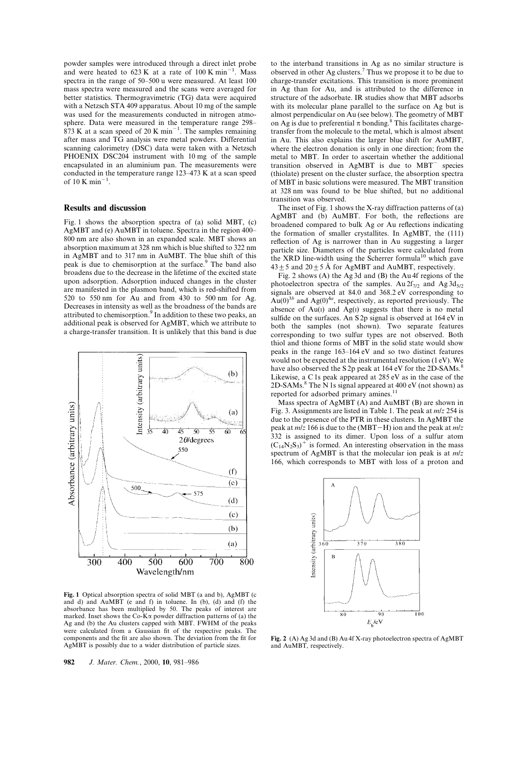powder samples were introduced through a direct inlet probe and were heated to  $623 \text{ K}$  at a rate of  $100 \text{ K min}^{-1}$ . Mass spectra in the range of 50–500 u were measured. At least 100 mass spectra were measured and the scans were averaged for better statistics. Thermogravimetric (TG) data were acquired with a Netzsch STA 409 apparatus. About 10 mg of the sample was used for the measurements conducted in nitrogen atmosphere. Data were measured in the temperature range 298 $873$  K at a scan speed of 20 K min<sup>-1</sup>. The samples remaining after mass and TG analysis were metal powders. Differential scanning calorimetry (DSC) data were taken with a Netzsch PHOENIX DSC204 instrument with 10 mg of the sample encapsulated in an aluminium pan. The measurements were conducted in the temperature range  $123-473$  K at a scan speed of  $10$  K min<sup>-</sup> .

### Results and discussion

Fig. 1 shows the absorption spectra of (a) solid MBT, (c) AgMBT and (e) AuMBT in toluene. Spectra in the region 400-800 nm are also shown in an expanded scale. MBT shows an absorption maximum at 328 nm which is blue shifted to 322 nm in AgMBT and to 317 nm in AuMBT. The blue shift of this peak is due to chemisorption at the surface.<sup>9</sup> The band also broadens due to the decrease in the lifetime of the excited state upon adsorption. Adsorption induced changes in the cluster are manifested in the plasmon band, which is red-shifted from 520 to 550 nm for Au and from 430 to 500 nm for Ag. Decreases in intensity as well as the broadness of the bands are attributed to chemisorption.<sup>9</sup> In addition to these two peaks, an additional peak is observed for AgMBT, which we attribute to a charge-transfer transition. It is unlikely that this band is due



Fig. 1 Optical absorption spectra of solid MBT (a and b), AgMBT (c and d) and AuMBT (e and f) in toluene. In (b), (d) and (f) the absorbance has been multiplied by 50. The peaks of interest are marked. Inset shows the Co-K $\alpha$  powder diffraction patterns of (a) the Ag and (b) the Au clusters capped with MBT. FWHM of the peaks were calculated from a Gaussian fit of the respective peaks. The components and the fit are also shown. The deviation from the fit for AgMBT is possibly due to a wider distribution of particle sizes.

982 J. Mater. Chem., 2000, 10, 981-986

to the interband transitions in Ag as no similar structure is observed in other Ag clusters.<sup>7</sup> Thus we propose it to be due to charge-transfer excitations. This transition is more prominent in Ag than for Au, and is attributed to the difference in structure of the adsorbate. IR studies show that MBT adsorbs with its molecular plane parallel to the surface on Ag but is almost perpendicular on Au (see below). The geometry of MBT on Ag is due to preferential  $\pi$  bonding.<sup>8</sup> This facilitates chargetransfer from the molecule to the metal, which is almost absent in Au. This also explains the larger blue shift for AuMBT, where the electron donation is only in one direction; from the metal to MBT. In order to ascertain whether the additional transition observed in  $AgMBT$  is due to  $MBT<sup>-</sup>$  species (thiolate) present on the cluster surface, the absorption spectra of MBT in basic solutions were measured. The MBT transition at 328 nm was found to be blue shifted, but no additional transition was observed.

The inset of Fig. 1 shows the X-ray diffraction patterns of (a) AgMBT and (b) AuMBT. For both, the reflections are broadened compared to bulk Ag or Au reflections indicating the formation of smaller crystallites. In AgMBT, the (111) reflection of Ag is narrower than in Au suggesting a larger particle size. Diameters of the particles were calculated from the XRD line-width using the Scherrer formula<sup>10</sup> which gave  $43 \pm 5$  and  $20 \pm 5$  Å for AgMBT and AuMBT, respectively.

Fig. 2 shows (A) the Ag 3d and (B) the Au 4f regions of the photoelectron spectra of the samples. Au  $2f_{7/2}$  and Ag  $3d_{5/2}$ signals are observed at 84.0 and 368.2 eV corresponding to  $Au(0)^{3b}$  and Ag(0)<sup>4a</sup>, respectively, as reported previously. The absence of  $Au(1)$  and  $Ag(1)$  suggests that there is no metal sulfide on the surfaces. An S  $2p$  signal is observed at 164 eV in both the samples (not shown). Two separate features corresponding to two sulfur types are not observed. Both thiol and thione forms of MBT in the solid state would show peaks in the range 163-164 eV and so two distinct features would not be expected at the instrumental resolution (1 eV). We have also observed the S2p peak at 164 eV for the 2D-SAMs.<sup>8</sup> Likewise, a C 1s peak appeared at 285 eV as in the case of the 2D-SAMs.<sup>8</sup> The N 1s signal appeared at 400 eV (not shown) as reported for adsorbed primary amines.<sup>11</sup>

Mass spectra of AgMBT (A) and AuMBT (B) are shown in Fig. 3. Assignments are listed in Table 1. The peak at m/z 254 is due to the presence of the PTR in these clusters. In AgMBT the peak at  $m/z$  166 is due to the (MBT-H) ion and the peak at  $m/z$ 332 is assigned to its dimer. Upon loss of a sulfur atom  $(C_{14}N_2S_3)^+$  is formed. An interesting observation in the mass spectrum of AgMBT is that the molecular ion peak is at m/z 166, which corresponds to MBT with loss of a proton and



Fig. 2 (A) Ag 3d and (B) Au 4f X-ray photoelectron spectra of AgMBT and AuMBT, respectively.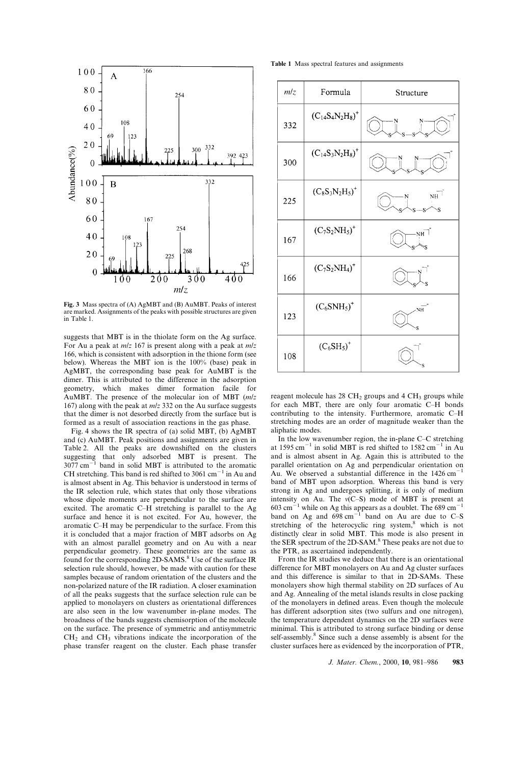

Fig. 3 Mass spectra of (A) AgMBT and (B) AuMBT. Peaks of interest are marked. Assignments of the peaks with possible structures are given in Table 1.

suggests that MBT is in the thiolate form on the Ag surface. For Au a peak at  $m/z$  167 is present along with a peak at  $m/z$ 166, which is consistent with adsorption in the thione form (see below). Whereas the MBT ion is the 100% (base) peak in AgMBT, the corresponding base peak for AuMBT is the dimer. This is attributed to the difference in the adsorption geometry, which makes dimer formation facile for AuMBT. The presence of the molecular ion of MBT (m/z 167) along with the peak at  $m/z$  332 on the Au surface suggests that the dimer is not desorbed directly from the surface but is formed as a result of association reactions in the gas phase.

Fig. 4 shows the IR spectra of (a) solid MBT, (b) AgMBT and (c) AuMBT. Peak positions and assignments are given in Table 2. All the peaks are downshifted on the clusters suggesting that only adsorbed MBT is present. The  $3077 \text{ cm}^{-1}$  band in solid MBT is attributed to the aromatic CH stretching. This band is red shifted to  $3061 \text{ cm}^{-1}$  in Au and is almost absent in Ag. This behavior is understood in terms of the IR selection rule, which states that only those vibrations whose dipole moments are perpendicular to the surface are excited. The aromatic C-H stretching is parallel to the Ag surface and hence it is not excited. For Au, however, the aromatic C-H may be perpendicular to the surface. From this it is concluded that a major fraction of MBT adsorbs on Ag with an almost parallel geometry and on Au with a near perpendicular geometry. These geometries are the same as found for the corresponding 2D-SAMS.<sup>8</sup> Use of the surface IR selection rule should, however, be made with caution for these samples because of random orientation of the clusters and the non-polarized nature of the IR radiation. A closer examination of all the peaks suggests that the surface selection rule can be applied to monolayers on clusters as orientational differences are also seen in the low wavenumber in-plane modes. The broadness of the bands suggests chemisorption of the molecule on the surface. The presence of symmetric and antisymmetric  $CH<sub>2</sub>$  and  $CH<sub>3</sub>$  vibrations indicate the incorporation of the phase transfer reagent on the cluster. Each phase transfer

Table 1 Mass spectral features and assignments



reagent molecule has  $28 \text{ CH}_2$  groups and  $4 \text{ CH}_3$  groups while for each MBT, there are only four aromatic C-H bonds contributing to the intensity. Furthermore, aromatic C-H stretching modes are an order of magnitude weaker than the aliphatic modes.

In the low wavenumber region, the in-plane  $C-C$  stretching at  $1595 \text{ cm}^{-1}$  in solid MBT is red shifted to  $1582 \text{ cm}^{-1}$  in Au and is almost absent in Ag. Again this is attributed to the parallel orientation on Ag and perpendicular orientation on Au. We observed a substantial difference in the  $1426 \text{ cm}^{-1}$ band of MBT upon adsorption. Whereas this band is very strong in Ag and undergoes splitting, it is only of medium intensity on Au. The  $v(C-S)$  mode of MBT is present at  $603 \text{ cm}^{-1}$  while on Ag this appears as a doublet. The 689 cm<sup>-1</sup> band on Ag and  $698 \text{ cm}^{-1}$  band on Au are due to C-S stretching of the heterocyclic ring system,<sup>8</sup> which is not distinctly clear in solid MBT. This mode is also present in the SER spectrum of the 2D-SAM.<sup>8</sup> These peaks are not due to the PTR, as ascertained independently.

From the IR studies we deduce that there is an orientational difference for MBT monolayers on Au and Ag cluster surfaces and this difference is similar to that in 2D-SAMs. These monolayers show high thermal stability on 2D surfaces of Au and Ag. Annealing of the metal islands results in close packing of the monolayers in defined areas. Even though the molecule has different adsorption sites (two sulfurs and one nitrogen), the temperature dependent dynamics on the 2D surfaces were minimal. This is attributed to strong surface binding or dense self-assembly.<sup>8</sup> Since such a dense assembly is absent for the cluster surfaces here as evidenced by the incorporation of PTR,

J. Mater. Chem., 2000, 10, 981-986 983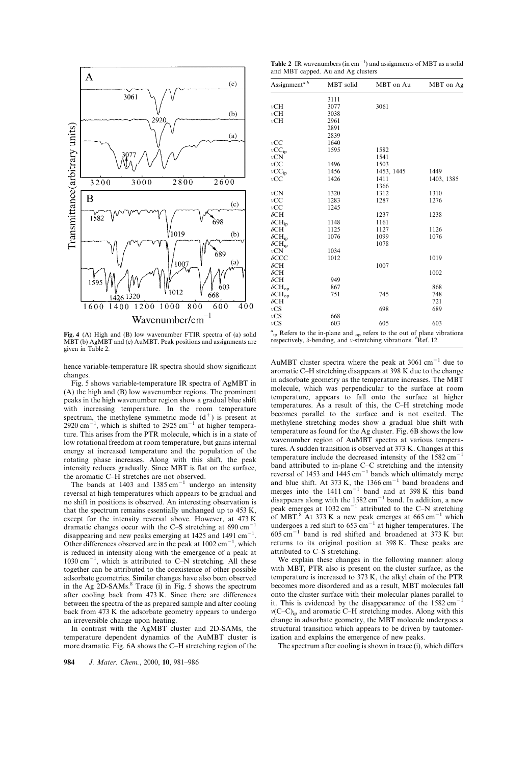

Fig. 4 (A) High and (B) low wavenumber FTIR spectra of (a) solid MBT (b) AgMBT and (c) AuMBT. Peak positions and assignments are given in Table 2.

hence variable-temperature IR spectra should show significant changes.

Fig. 5 shows variable-temperature IR spectra of AgMBT in (A) the high and (B) low wavenumber regions. The prominent peaks in the high wavenumber region show a gradual blue shift with increasing temperature. In the room temperature spectrum, the methylene symmetric mode  $(d<sup>+</sup>)$  is present at  $2920 \text{ cm}^{-1}$ which is shifted to  $2925 \text{ cm}^{-1}$  at higher temperature. This arises from the PTR molecule, which is in a state of low rotational freedom at room temperature, but gains internal energy at increased temperature and the population of the rotating phase increases. Along with this shift, the peak intensity reduces gradually. Since MBT is flat on the surface, the aromatic C-H stretches are not observed.

The bands at  $1403$  and  $1385 \text{ cm}^{-1}$  undergo an intensity reversal at high temperatures which appears to be gradual and no shift in positions is observed. An interesting observation is that the spectrum remains essentially unchanged up to 453 K, except for the intensity reversal above. However, at 473 K dramatic changes occur with the C $-S$  stretching at 690 cm<sup>-</sup> disappearing and new peaks emerging at  $1425$  and  $1491 \text{ cm}^{-1}$ . Other differences observed are in the peak at  $1002 \text{ cm}^{-1}$ , which is reduced in intensity along with the emergence of a peak at  $1030 \text{ cm}^{-1}$ , which is attributed to C-N stretching. All these together can be attributed to the coexistence of other possible adsorbate geometries. Similar changes have also been observed in the Ag 2D-SAMs.<sup>8</sup> Trace (i) in Fig. 5 shows the spectrum after cooling back from 473 K. Since there are differences between the spectra of the as prepared sample and after cooling back from 473 K the adsorbate geometry appears to undergo an irreversible change upon heating.

In contrast with the AgMBT cluster and 2D-SAMs, the temperature dependent dynamics of the AuMBT cluster is more dramatic. Fig. 6A shows the C-H stretching region of the

**Table 2** IR wavenumbers (in  $cm^{-1}$ ) and assignments of MBT as a solid and MBT capped. Au and Ag clusters

| Assignment <sup>a,b</sup>   | MBT solid | MBT on Au                                                                               | MBT on Ag  |
|-----------------------------|-----------|-----------------------------------------------------------------------------------------|------------|
|                             | 3111      |                                                                                         |            |
| vCH                         | 3077      | 3061                                                                                    |            |
| vCH                         | 3038      |                                                                                         |            |
| vCH                         | 2961      |                                                                                         |            |
|                             | 2891      |                                                                                         |            |
|                             | 2839      |                                                                                         |            |
| vCC                         | 1640      |                                                                                         |            |
| $vCC_{ip}$                  | 1595      | 1582                                                                                    |            |
| vCN                         |           | 1541                                                                                    |            |
| vCC                         | 1496      | 1503                                                                                    |            |
| $vCC_{ip}$                  | 1456      | 1453, 1445                                                                              | 1449       |
| vCC                         | 1426      | 1411                                                                                    | 1403, 1385 |
|                             |           | 1366                                                                                    |            |
| vCN                         | 1320      | 1312                                                                                    | 1310       |
| vCC                         | 1283      | 1287                                                                                    | 1276       |
| vCC                         | 1245      |                                                                                         |            |
| $\delta$ CH                 |           | 1237                                                                                    | 1238       |
| $\delta \mathrm{CH_{ip}}$   | 1148      | 1161                                                                                    |            |
| $\delta$ CH                 | 1125      | 1127                                                                                    | 1126       |
| $\delta \mathrm{CH_{ip}}$   | 1076      | 1099                                                                                    | 1076       |
| $\delta$ CH <sub>ip</sub>   |           | 1078                                                                                    |            |
| vCN                         | 1034      |                                                                                         |            |
| $\delta$ CCC                | 1012      |                                                                                         | 1019       |
| $\delta$ CH                 |           | 1007                                                                                    |            |
| $\delta$ CH                 |           |                                                                                         | 1002       |
| $\delta$ CH                 | 949       |                                                                                         |            |
| $\delta\text{CH}_\text{op}$ | 867       |                                                                                         | 868        |
| $\delta\text{CH}_\text{op}$ | 751       | 745                                                                                     | 748        |
| $\delta$ CH                 |           |                                                                                         | 721        |
| vCS                         |           | 698                                                                                     | 689        |
| vCS                         | 668       |                                                                                         |            |
| vCS                         | 603       | 605<br>$a_{\mu}$ Refers to the in-plane and $\mu$ refers to the out of plane vibrations | 603        |

 $\binom{a}{i}$  Refers to the in-plane and <sub>op</sub> refers to the out of plane vibrations respectively,  $\delta$ -bending, and v-stretching vibrations. <sup>b</sup>Ref. 12.

AuMBT cluster spectra where the peak at  $3061 \text{ cm}^{-1}$  due to aromatic C-H stretching disappears at 398 K due to the change in adsorbate geometry as the temperature increases. The MBT molecule, which was perpendicular to the surface at room temperature, appears to fall onto the surface at higher temperatures. As a result of this, the C-H stretching mode becomes parallel to the surface and is not excited. The methylene stretching modes show a gradual blue shift with temperature as found for the Ag cluster. Fig. 6B shows the low wavenumber region of AuMBT spectra at various temperatures. A sudden transition is observed at 373 K. Changes at this temperature include the decreased intensity of the  $1582 \text{ cm}^{-1}$ band attributed to in-plane C-C stretching and the intensity reversal of 1453 and  $1445 \text{ cm}^{-1}$  bands which ultimately merge and blue shift. At 373 K, the  $1366 \text{ cm}^{-1}$  band broadens and merges into the  $1411 \text{ cm}^{-1}$  band and at 398 K this band disappears along with the  $1582 \text{ cm}^{-1}$  band. In addition, a new peak emerges at  $1032 \text{ cm}^{-1}$  attributed to the C-N stretching of MBT.<sup>8</sup> At 373 K a new peak emerges at 665 cm<sup>-1</sup> which undergoes a red shift to  $653 \text{ cm}^{-1}$  at higher temperatures. The  $605 \text{ cm}^{-1}$  band is red shifted and broadened at 373 K but returns to its original position at 398 K. These peaks are attributed to C-S stretching.

We explain these changes in the following manner: along with MBT, PTR also is present on the cluster surface, as the temperature is increased to 373 K, the alkyl chain of the PTR becomes more disordered and as a result, MBT molecules fall onto the cluster surface with their molecular planes parallel to it. This is evidenced by the disappearance of the  $1582 \text{ cm}^{-1}$  $v(C-C)_{ip}$  and aromatic C-H stretching modes. Along with this change in adsorbate geometry, the MBT molecule undergoes a structural transition which appears to be driven by tautomerization and explains the emergence of new peaks.

The spectrum after cooling is shown in trace (i), which differs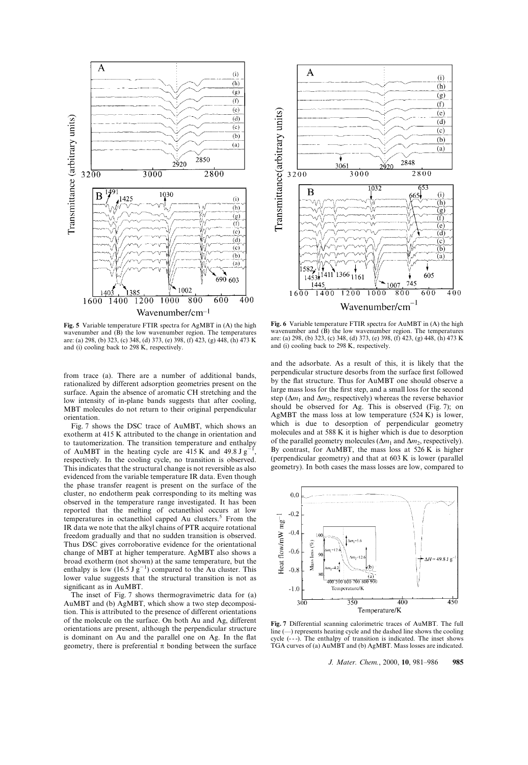

Fig. 5 Variable temperature FTIR spectra for AgMBT in (A) the high wavenumber and  $(\hat{B})$  the low wavenumber region. The temperatures are: (a) 298, (b) 323, (c) 348, (d) 373, (e) 398, (f) 423, (g) 448, (h) 473 K and (i) cooling back to 298 K, respectively.

from trace (a). There are a number of additional bands, rationalized by different adsorption geometries present on the surface. Again the absence of aromatic CH stretching and the low intensity of in-plane bands suggests that after cooling, MBT molecules do not return to their original perpendicular orientation.

Fig. 7 shows the DSC trace of AuMBT, which shows an exotherm at 415 K attributed to the change in orientation and to tautomerization. The transition temperature and enthalpy of AuMBT in the heating cycle are  $415 \text{ K}$  and  $49.8 \text{ J g}^{-1}$ , respectively. In the cooling cycle, no transition is observed. This indicates that the structural change is not reversible as also evidenced from the variable temperature IR data. Even though the phase transfer reagent is present on the surface of the cluster, no endotherm peak corresponding to its melting was observed in the temperature range investigated. It has been reported that the melting of octanethiol occurs at low temperatures in octanethiol capped Au clusters.<sup>5</sup> From the IR data we note that the alkyl chains of PTR acquire rotational freedom gradually and that no sudden transition is observed. Thus DSC gives corroborative evidence for the orientational change of MBT at higher temperature. AgMBT also shows a broad exotherm (not shown) at the same temperature, but the enthalpy is low  $(16.5 \text{ J g}^{-1})$  compared to the Au cluster. This lower value suggests that the structural transition is not as significant as in AuMBT.

The inset of Fig. 7 shows thermogravimetric data for (a) AuMBT and (b) AgMBT, which show a two step decomposition. This is attributed to the presence of different orientations of the molecule on the surface. On both Au and Ag, different orientations are present, although the perpendicular structure is dominant on Au and the parallel one on Ag. In the flat geometry, there is preferential  $\pi$  bonding between the surface



Fig. 6 Variable temperature FTIR spectra for AuMBT in (A) the high wavenumber and  $(B)$  the low wavenumber region. The temperatures are: (a) 298, (b) 323, (c) 348, (d) 373, (e) 398, (f) 423, (g) 448, (h) 473 K and (i) cooling back to 298 K, respectively.

and the adsorbate. As a result of this, it is likely that the perpendicular structure desorbs from the surface first followed by the flat structure. Thus for AuMBT one should observe a large mass loss for the first step, and a small loss for the second step ( $\Delta m_1$  and  $\Delta m_2$ , respectively) whereas the reverse behavior should be observed for Ag. This is observed (Fig. 7); on AgMBT the mass loss at low temperature (524 K) is lower, which is due to desorption of perpendicular geometry molecules and at 588 K it is higher which is due to desorption of the parallel geometry molecules ( $\Delta m_1$  and  $\Delta m_2$ , respectively). By contrast, for AuMBT, the mass loss at 526 K is higher (perpendicular geometry) and that at 603 K is lower (parallel geometry). In both cases the mass losses are low, compared to



Fig. 7 Differential scanning calorimetric traces of AuMBT. The full line  $(-)$  represents heating cycle and the dashed line shows the cooling cycle (- - -). The enthalpy of transition is indicated. The inset shows TGA curves of (a) AuMBT and (b) AgMBT. Mass losses are indicated.

J. Mater. Chem., 2000, 10, 981-986 985